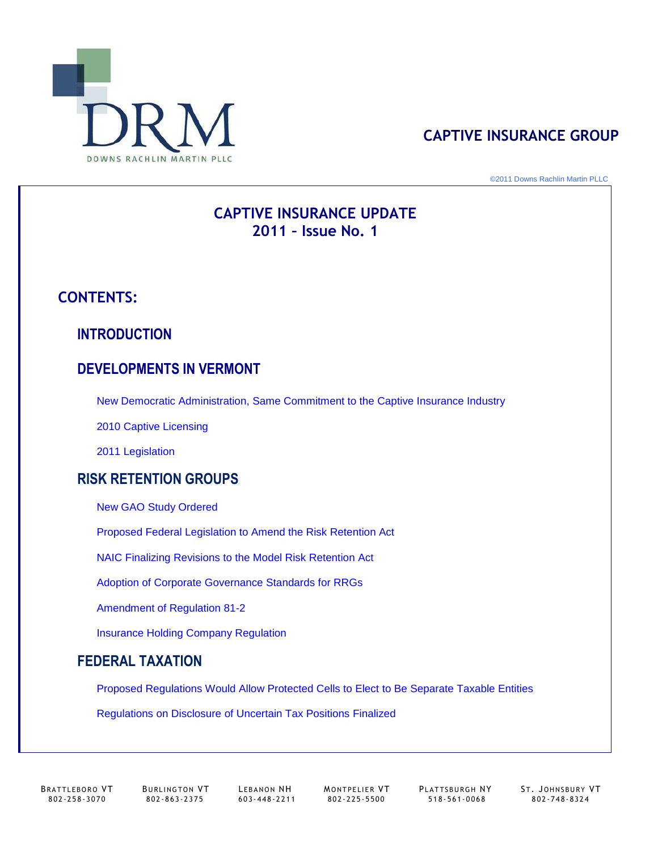

# **CAPTIVE INSURANCE GROUP**

©2011 Downs Rachlin Martin PLLC

# 1 **2011 – Issue No. 1 CAPTIVE INSURANCE UPDATE**

# **CONTENTS:**

# **INTRODUCTION**

# **DEVELOPMENTS IN VERMONT**

New Democratic Administration, Same Commitment to the Captive Insurance Industry

2010 Captive Licensing

2011 Legislation

# **GROUP RISK RETENTION GROUPS**

**New GAO Study Ordered** 

Proposed Federal Legislation to Amend the Risk Retention Act

NAIC Finalizing Revisions to the Model Risk Retention Act

Adoption of Corporate Governance Standards for RRGs

Amendment of Regulation 81-2

Insurance Holding Company Regulation

# **TAXATION FEDERAL TAXATION**

Proposed Regulations Would Allow Protected Cells to Elect to Be Separate Taxable Entities

Regulations on Disclosure of Uncertain Tax Positions Finalized

802 - 258 - 3070 802 - 863 - 2375 603 - 448 - 2211 802 - 225 -5500 518 -561 - 0068 802 - 748 -8324

BRATTLEBORO VT BURLINGTON VT LEBANON NH MONTPELIER VT PLATTSBURGH NY ST. JOHNSBURY VT<br>802-258-3070 802-863-2375 603-448-2211 802-225-5500 518-561-0068 802-748-8324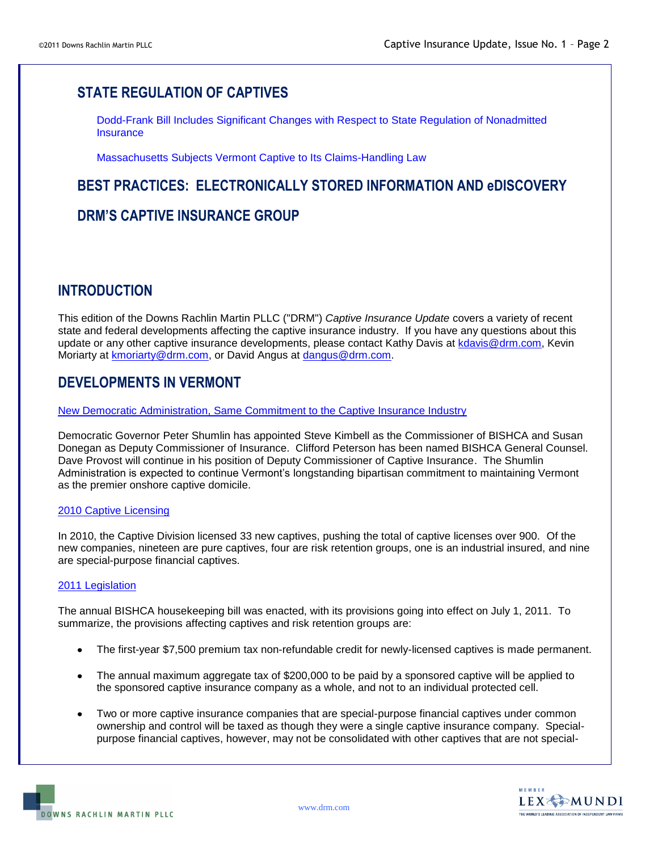# **STATE REGULATION OF CAPTIVES**

Dodd-Frank Bill Includes Significant Changes with Respect to State Regulation of Nonadmitted **Insurance** 

Massachusetts Subjects Vermont Captive to Its Claims-Handling Law

## **D INFORMATION AND e BEST PRACTICES: ELECTRONICALLY STORED INFORMATION ANDeDISCOVERY**

### **DRM'S CAPTIVE INSURANCE GROUP**

# **INTRODUCTION**

This edition of the Downs Rachlin Martin PLLC ("DRM") *Captive Insurance Update* covers a variety of recent state and federal developments affecting the captive insurance industry. If you have any questions about this state and federal developments affecting the captive insurance industry. If you have any questions about this update or any other captive insurance developments, please contact Kathy Davis at [kdavis@drm.com,](mailto:kdavis@drm.com) Kevin Moriarty at **kmoriarty@drm.com**, or David Angus at **dangus@drm.com.** 

# **DEVELOPMENTS IN VERMONT**

New Democratic Administration, Same Commitment to the Captive Insurance Industry

Democratic Governor Peter Shumlin has appointed Steve Kimbell as the Commissioner of BISHCA and Susan Donegan as Deputy Commissioner of Insurance. Clifford Peterson has been named BISHCA General Counsel. Dave Provost will continue in his position of Deputy Commissioner of Captive Insurance. The Shumlin Administration is expected to continue Vermont's longstanding bipartisan commitment to maintaining Vermont as the premier onshore captive domicil as the premier onshore captive domicile.

### 2010 Captive Licensing

new companies, nineteen are pure captives, four are risk retention groups, one is an industrial insured, and nine are special-purpose financial captives. In 2010, the Captive Division licensed 33 new captives, pushing the total of captive licenses over 900. Of the

### 2011 Legislation

The annual BISHCA housekeeping bill was enacted, with its provisions going into effect on July 1, 2011. To summarize, the provisions affecting captives and risk retention groups are:

- The first-year \$7,500 premium tax non-refundable credit for newly-licensed captives is made permanent.
- The annual maximum aggregate tax of \$200,000 to be paid by a sponsored captive will be applied to the sponsored captive insurance company as a whole, and not to an individual protected cell.
- Two or more captive insurance companies that are special-purpose financial captives under common<br>Companies and septed will be to yet as though thou was a single septive insurance company. Captio ownership and control ownership and control will be taxed as though they were a single captive insurance company. Specialpurpose financial captives, however, may not be consolidated with other captives that are not special-

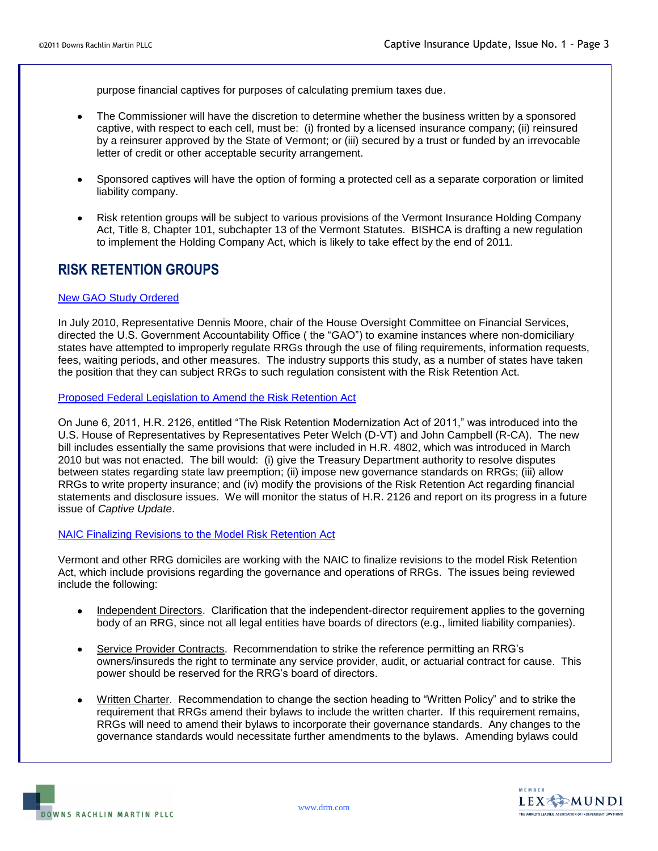purpose financial captives for purposes of calculating premium taxes due.

- The Commissioner will have the discretion to determine whether the business written by a sponsored captive, with respect to each cell, must be: (i) fronted by a licensed insurance company; (ii) reinsured letter of credit or other acceptable security arrangement. letter of credit or other acceptable security arrangement. by a reinsurer approved by the State of Vermont; or (iii) secured by a trust or funded by an irrevocable
- Sp Sponsored captives will have the option of forming a protected cell as a separate corporation or limited liability company. liability company.
- Risk retention groups will be subject to various provisions of the Vermont Insurance Holding Company Act, Title 8, Chapter 101, subchapter 13 of the Vermont Statutes. BISHCA is drafting a new regulation to implement the Holding Company Act, which is likely to take effect by the end of 2011.

# **SK RETENTION RISK RETENTION GROUPS**

### New GAO Study Ordered

In July 2010, Representative Dennis Moore, chair of the House Oversight Committee on Financial Services, directed the U.S. Government Accountability Office ( the "GAO") to examine instances where non-domiciliary states have attempted to improperly regulate RRGs through the use of filing requirements, information requests, fees, waiting periods, and other measures. The industry supports this study, as a number of states have taken the position that they can subject RRGs to such regulation consistent with the Risk Retention Act.

Proposed Federal Legislation to Amend the Risk Retention Act

U.S. House of Representatives by Representatives Peter Welch (D-VT) and John Campbell (R-CA). The new bill includes essentially the same provisions that were included in H.R. 4802, which was introduced in March between states regarding state law preemption; (ii) impose new governance standards on RRGs; (iii) allow RRGs to write property insurance; and (iv) modify the provisions of the Risk Retention Act regarding financial statements and disclosure issues. We will monitor the status of H.R. 2126 and report on its progress in a future *Captive Update* issue of *Captive Update*. On June 6, 2011, H.R. 2126, entitled "The Risk Retention Modernization Act of 2011," was introduced into the 2010 but was not enacted. The bill would: (i) give the Treasury Department authority to resolve disputes

### NAIC Finalizing Revisions to the Model Risk Retention Act

Vermont and other RRG domiciles are working with the NAIC to finalize revisions to the model Risk Retention Act, which include provisions regarding the governance and operations of RRGs. The issues being reviewed include the following:

- Independent Directors. Clarification that the independent-director requirement applies to the governing body of an RRG, since not all legal entities have boards of directors (e.g., limited liability companies).
- Service Provider Contracts. Recommendation to strike the reference permitting an RRG's owners/insureds the right to terminate any service provider, audit, or actuarial contract for cause. This power power should be reserved for the RRG's board of directors.
- Written Charter. Recommendation to change the section heading to "Written Policy" and to strike the requirement that RRGs amend their bylaws to include the written charter. If this requirement remains, requirement that RRGs amend their bylaws to include the written charter. If this requirement remains, RRGs will need to amend their bylaws to incorporate their governance standards. Any changes to the governance standards would necessitate further amendments to the bylaws. Amending bylaws could

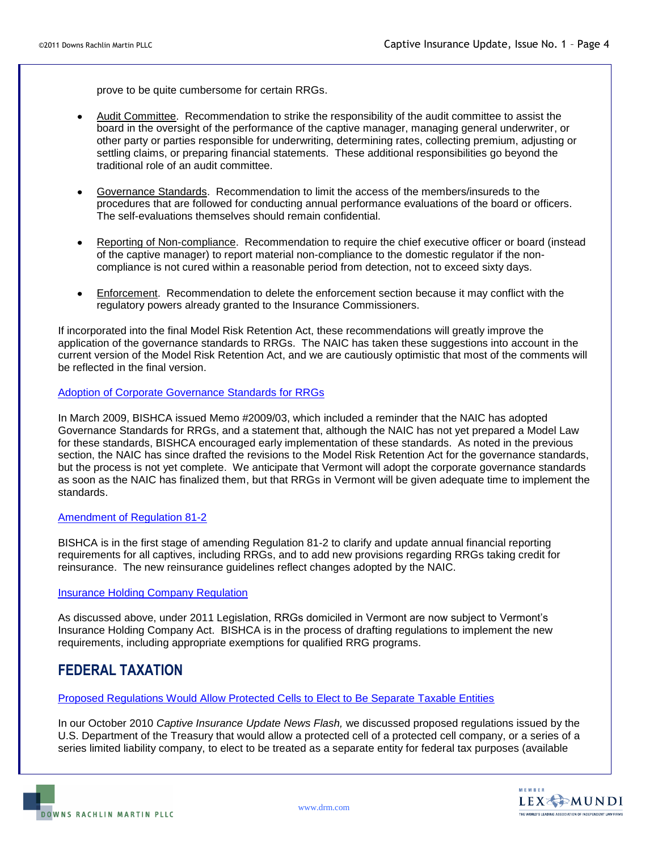prove to be quite cumbersome for certain RRGs.

- Audit Committee. Recommendation to strike the responsibility of the audit committee to assist the board in the oversight of the performance of the captive manager, managing general underwriter, or other party or parties responsible for underwriting, determining rates, collecting premium, adjusting or settling claims, or preparing financial statements. These additional responsibilities go beyond the traditional role of an audit committee.
- **Governance Standards.** Recommendation to limit the access of the members/insureds to the procedures that are followed for conducting annual performance evaluations of the board or officers. The self-evaluations themselves should remain confidential.
- Reporting of Non-compliance. Recommendation to require the chief executive officer or board (instead of the captive manager) to report material non-compliance to the domestic regulator if the noncompliance is not cured within a reasonable period from detection, not to exceed sixty days.
- Enforcement. Recommendation to delete the enforcement section because it may conflict with the regulatory powers already granted to the Insurance Commissioners.

application of the governance standards to RRGs. The NAIC has taken these suggestions into account in the current version of the Model Risk Retention Act, and we are cautiously optimistic that most of the comments will be reflected in the final version be reflected in the final version. If incorporated into the final Model Risk Retention Act, these recommendations will greatly improve the

### Adoption of Corporate Governance Standards for RRGs

In March 2009, BISHCA issued Memo #2009/03, which included a reminder that the NAIC has adopted Governance Standards for RRGs, and a statement that, although the NAIC has not yet prepared a Model Law Governance Standards for RRGs, and a statement that, although the NAIC has not yet prepared a Model Law for these standards, BISHCA encouraged early implementation of these standards. As noted in the previous section, the NAIC has since drafted the revisions to the Model Risk Retention Act for the governance standards, but the process is not yet complete. We anticipate that Vermont will adopt the corporate governance standards as soon as the NAIC has finalized them, but that RRGs in Vermont will be given adequate time to implement the standards.

### Amendment of Regulation 81-2

BISHCA is in the first stage of amending Regulation 81-2 to clarify and update annual financial reporting reinsurance. The new reinsurance guidelines reflect changes adopted by the NAIC. requirements for all captives, including RRGs, and to add new provisions regarding RRGs taking credit for

### **Insurance Holding Company Regulation**

As discussed above, under 2011 Legislation, RRGs domiciled in Vermont are now subject to Vermont's Insurance Holding Company Act. BISHCA is in the process of drafting regulations to implement the new Insurance Holding Company Act. BISHCA is in the process of drafting regulations to implement the new requirements, including appropriate exemptions for qualified RRG programs.

## **TAXATION FEDERAL TAXATION**

### Proposed Regulations Would Allow Protected Cells to Elect to Be Separate Taxable Entities

*Captive Update News Flash,* we discussed proposed regulations issued by the In our October 2010 *Captive Insurance Update News Flash,* we discussed proposed regulations issued by the U.S. Department of the Treasury that would allow a protected cell of a protected cell company, or a series of a series limited liability company, to elect to be treated as a separate entity for federal tax purposes (available

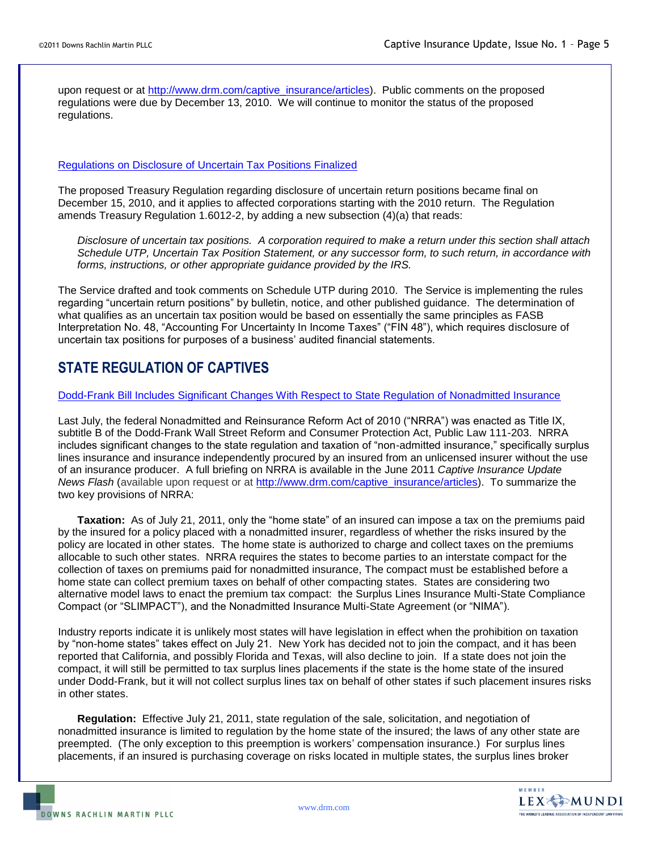upon request or at [http://www.drm.com/captive\\_insurance/articles\)](http://www.drm.com/captive_insurance/articles). Public comments on the proposed regulations. regulations. regulations were due by December 13, 2010. We will continue to monitor the status of the proposed

### Regulations on Disclosure of Uncertain Tax Positions Finalized

The proposed Treasury Regulation regarding disclosure of uncertain return positions became final on amends Treasury Regulati amends Treasury Regulation 1.6012-2, by adding a new subsection (4)(a) that reads: December 15, 2010, and it applies to affected corporations starting with the 2010 return. The Regulation

Schedule UTP, Uncertain Tax Position Statement, or any successor form, to such return, in accordance with *forms, instructions, or other appropriate guidance provided by the IRS. forms, instructions, or other appropriate guidance provided by the IRS. Disclosure of uncertain tax positions. A corporation required to make a return under this section shall attach* 

regarding "uncertain return positions" by bulletin, notice, and other published guidance. The determination of what qualifies as an uncertain tax position would be based on essentially the same principles as FASB what qualifies as an uncertain tax position would be based on essentially the same principles as FASB Interpretation No. 48, "Accounting For Uncertainty In Income Taxes" ("FIN 48"), which requires disclosure of The Service drafted and took comments on Schedule UTP during 2010. The Service is implementing the rules uncertain tax positions for purposes of a business' audited financial statements.

# **STATE REGULATION OF CAPTIVES**

### Dodd-Frank Bill Includes Significant Changes With Respect to State Regulation of Nonadmitted Insurance

Last July, the federal Nonadmitted and Reinsurance Reform Act of 2010 ("NRRA") was enacted as Title IX, includes significant changes to the state regulation and taxation of "non ad includes significant changes to the state regulation and taxation of "non-admitted insurance," specifically surplus lines insurance and insurance lines insurance and insurance independently procured by an insured from an unlicensed insurer without the use of an insurance producer. A full briefing on NRRA is available in the June 2011 *Captive Insurance Update* News Flash (available upon request or at [http://www.drm.com/captive\\_insurance/articles\)](http://www.drm.com/captive_insurance/articles). To summarize the two key provisions of NRRA: two key provisions of NRRA: subtitle B of the Dodd-Frank Wall Street Reform and Consumer Protection Act, Public Law 111-203. NRRA

**Taxation:** As of July 21, 2011, only the "home state" of an insured can impose a tax on the premiums paid policy are located in other states. The home state is authorized to charge and collect taxes on t policy are located in other states. The home state is authorized to charge and collect taxes on the premiums allocable to such other states. NRRA requires the states to become parties to an interstate compact for the allocable to such other states. NRRA requires the states to become parties to an interstate compact for the collection of taxes on premiums paid for nonadmitted insurance, The compact must be established before a alternative model laws to enact the premium tax compact: the Surplus Lines Insurance Multi State Compliance alternative model laws to enact the premium tax compact: the Surplus Lines Insurance Multi-State Compliance Compact (or "SLIMPACT"), and the Nonadmitted Insurance Multi-State Agreement (or "NIMA"). by the insured for a policy placed with a nonadmitted insurer, regardless of whether the risks insured by the home state can collect premium taxes on behalf of other compacting states. States are considering two

by "non home states" takes effect on July 21. New York has decided not to join th by "non-home states" takes effect on July 21. New York has decided not to join the compact, and it has been reported that California, and possibly Florida and Texas, will also decline to join. If a state does not join the under Dodd-Frank, but it will not collect surplus lines tax on behalf of other states if such placement insures risks in other states. in other states. Industry reports indicate it is unlikely most states will have legislation in effect when the prohibition on taxation compact, it will still be permitted to tax surplus lines placements if the state is the home state of the insured

**Regulation:** Effective July 21, 2011, state regulation of the sale, solicitation, and negotiation of nonadmitted insurance is limited to regulation by the home state of the insured; the laws of any other state are preempted. (The only exception to this preemption is workers' compensation insurance.) For surplus lines placements, if an insured is purchasing coverage on risks located in multiple states, the s placements, if an insured is purchasing coverage on risks located in multiple states, the surplus lines broker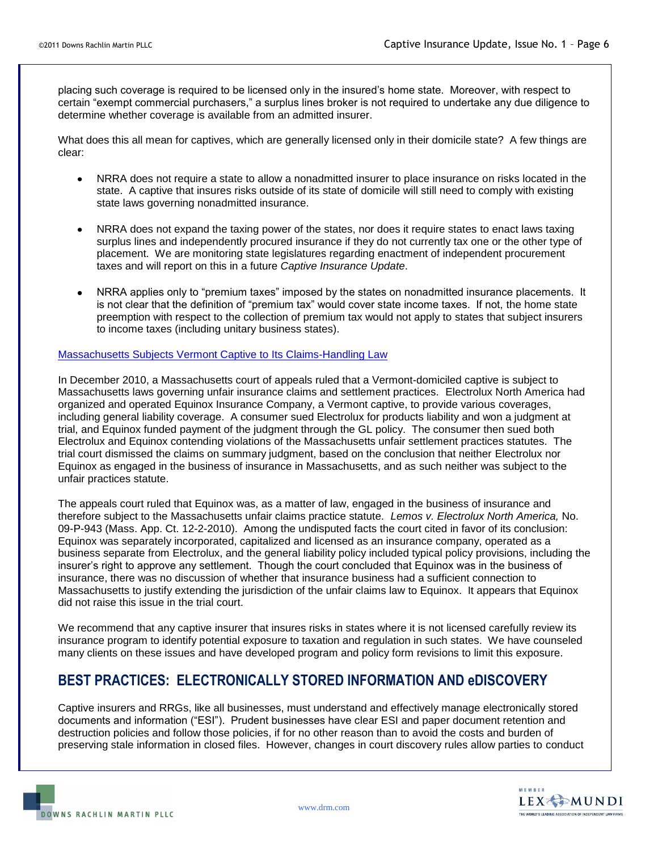certain certain "exempt commercial purchasers," a surplus lines broker is not required to undertake any due diligence to determine whe determine whether coverage is available from an admitted insurer. placing such coverage is required to be licensed only in the insured's home state. Moreover, with respect to

clear: clear: What does this all mean for captives, which are generally licensed only in their domicile state? A few things are

- NRRA does not require a state to allow a nonadmitted insurer to place insurance 0 NRRA does not require a state to allow a nonadmitted insurer to place insurance on risks located in the state. A captive that insures risks outside of its state of domicile will still need to comply with existing state. A captive that insures risks outside of its state of domicile will still need to comply with existing state laws governing nonadmitted insurance.
- NRRA does not expand the taxing power of the states, nor does it require states to enact laws taxing NRRA does not expand the taxing power of the states, nor does it require states to enact laws taxing surplus lines and independently procured insurance if they do not currently tax one or the other type of taxes and will report on this in *Captive Insurance Update* taxes and will report on this in a future *Captive Insurance Update*. placement. We are monitoring state legislatures regarding enactment of independent procurement
- NRRA applies only to "premium taxes" imposed by the states on nonadmitted insurance placements. It NRRA applies only to "premium taxes" imposed by the states on nonadmitted insurance placements. It is not clear that the definition of "premium tax" would cover state income taxes. If not, the home state preemption with respect to the collection of premium tax would not apply to states that subject insurers to income taxes (including unitary business states).

### Massachusetts Subjects Vermont Captive to Its Claims-Handling Law

In December 2010, a Massachusetts court of appeals ruled that a Vermont-domiciled captive is subject to organized and operated Equinox Insurance Company, a Vermont captive, to provide various coverages, organized and operated Equinox Insurance Company, a Vermont captive, to provide various coverages, trial, and Equinox funded payment of the judgment through the GL policy. The consumer then sued both trial, and Equinox funded payment of the judgment through the GL policy. The consumer then sued both Electrolux and Equinox contending violations of the Massachusetts unfair settlement practices statutes. The trial court dismissed the claims on summary judgment, based on the conclusion that neither Electrolux nor unfair practices statute. unfair practices statute. Massachusetts laws governing unfair insurance claims and settlement practices. Electrolux North America had including general liability coverage. A consumer sued Electrolux for products liability and won a judgment at Equinox as engaged in the business of insurance in Massachusetts, and as such neither was subject to the

The appeals court ruled that Equinox was, as a matter of law, engaged in the business of insurance and *rth America,* No . therefore subject to the Massachusetts unfair claims practice statute. *Lemos v. Electrolux North America,* No. 09-P-943 (Mass. App. Ct. 12-2-2010). Among the undisputed facts the court cited in favor of its conclusion: business separate from Elect business separate from Electrolux, and the general liability policy included typical policy provisions, including the insurer's right to approve any settlement. Though the court concluded that Equinox was in the business of insurer's right to approve any settlement. Though the court concluded that Equinox was in the business of insurance, there was no discussion of whether that insurance business had a sufficient connection to Massachusetts to justify extending the jurisdiction of the unfair claims law to Equinox. It appears that Equinox Equinox was separately incorporated, capitalized and licensed as an insurance company, operated as a did not raise this issue in the trial court.

We recommend that any captive insurer that insures risks in states where it is not licensed carefully review its many clients on these issues and have developed program and policy form revisions to limit this exposure. insurance program to identify potential exposure to taxation and regulation in such states. We have counseled

## **ELECTRONICALLY STORE DISCOVERY BEST PRACTICES: ELECTRONICALLY STORED INFORMATION AND eDISCOVERY**

documents and information ("ESI"). Prudent businesses have c documents and information ("ESI"). Prudent businesses have clear ESI and paper document retention and destruction policies and follow those policies, if for no other reason than to avoid the costs and burden of destruction policies and follow those policies, if for no other reason than to avoid the costs and burden of Captive insurers and RRGs, like all businesses, must understand and effectively manage electronically stored preserving stale information in closed files. However, changes in court discovery rules allow parties to conduct